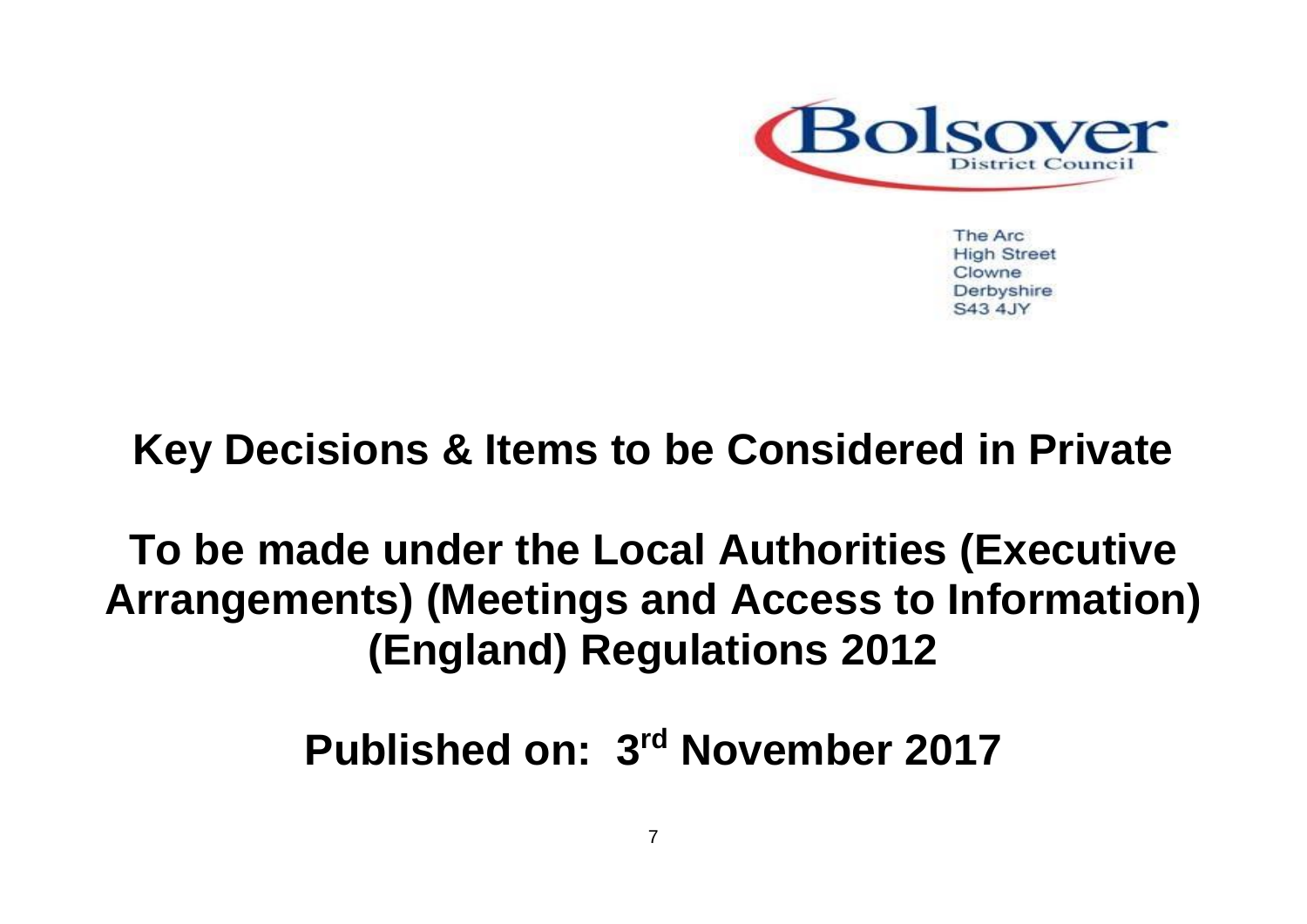

The Arc **High Street** Clowne Derbyshire S43 4.JY

## **Key Decisions & Items to be Considered in Private**

**To be made under the Local Authorities (Executive Arrangements) (Meetings and Access to Information) (England) Regulations 2012**

**Published on: 3 rd November 2017**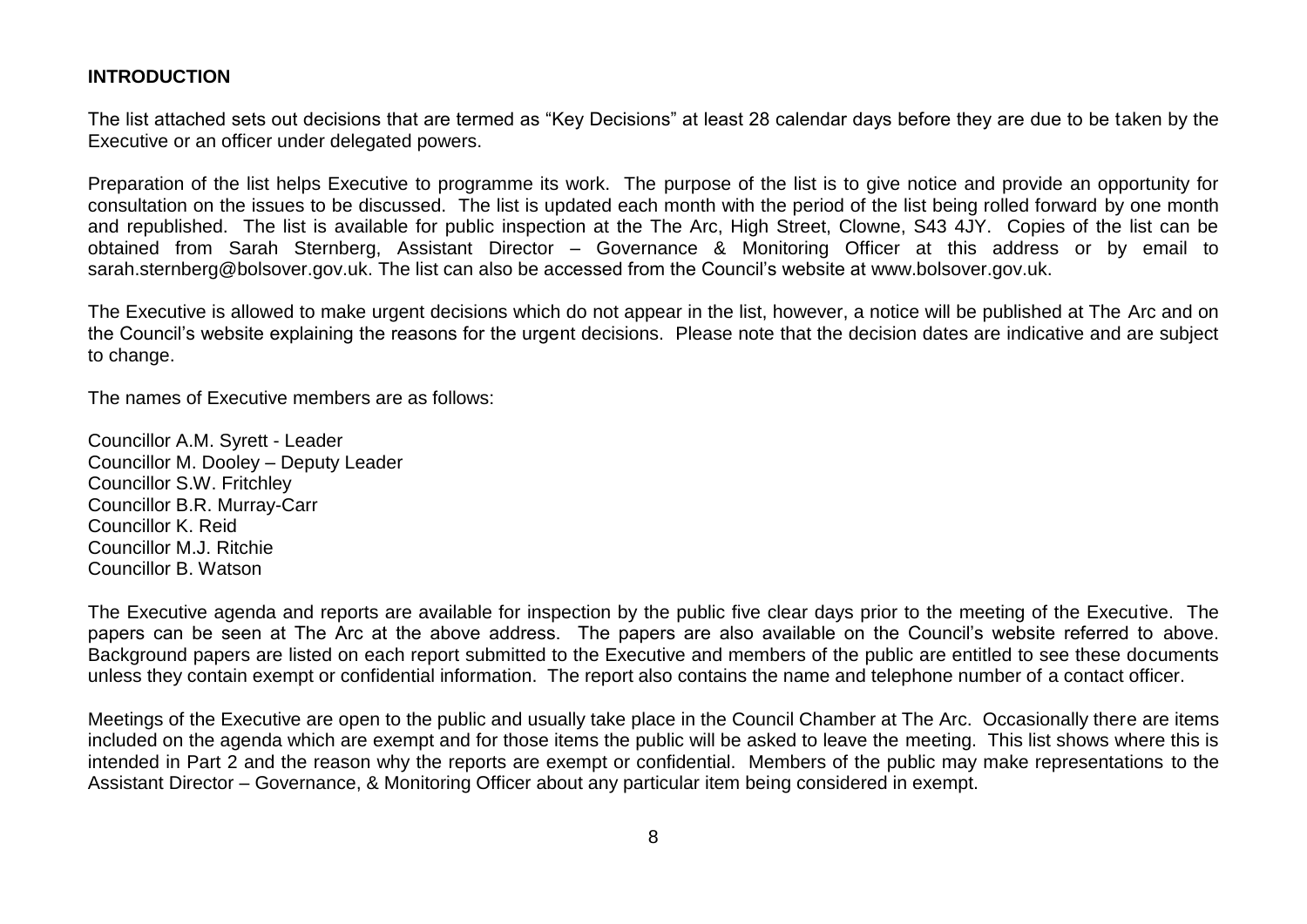## **INTRODUCTION**

The list attached sets out decisions that are termed as "Key Decisions" at least 28 calendar days before they are due to be taken by the Executive or an officer under delegated powers.

Preparation of the list helps Executive to programme its work. The purpose of the list is to give notice and provide an opportunity for consultation on the issues to be discussed. The list is updated each month with the period of the list being rolled forward by one month and republished. The list is available for public inspection at the The Arc, High Street, Clowne, S43 4JY. Copies of the list can be obtained from Sarah Sternberg, Assistant Director – Governance & Monitoring Officer at this address or by email to sarah.sternberg@bolsover.gov.uk. The list can also be accessed from the Council's website at www.bolsover.gov.uk.

The Executive is allowed to make urgent decisions which do not appear in the list, however, a notice will be published at The Arc and on the Council's website explaining the reasons for the urgent decisions. Please note that the decision dates are indicative and are subject to change.

The names of Executive members are as follows:

Councillor A.M. Syrett - Leader Councillor M. Dooley – Deputy Leader Councillor S.W. Fritchley Councillor B.R. Murray-Carr Councillor K. Reid Councillor M.J. Ritchie Councillor B. Watson

The Executive agenda and reports are available for inspection by the public five clear days prior to the meeting of the Executive. The papers can be seen at The Arc at the above address. The papers are also available on the Council's website referred to above. Background papers are listed on each report submitted to the Executive and members of the public are entitled to see these documents unless they contain exempt or confidential information. The report also contains the name and telephone number of a contact officer.

Meetings of the Executive are open to the public and usually take place in the Council Chamber at The Arc. Occasionally there are items included on the agenda which are exempt and for those items the public will be asked to leave the meeting. This list shows where this is intended in Part 2 and the reason why the reports are exempt or confidential. Members of the public may make representations to the Assistant Director – Governance, & Monitoring Officer about any particular item being considered in exempt.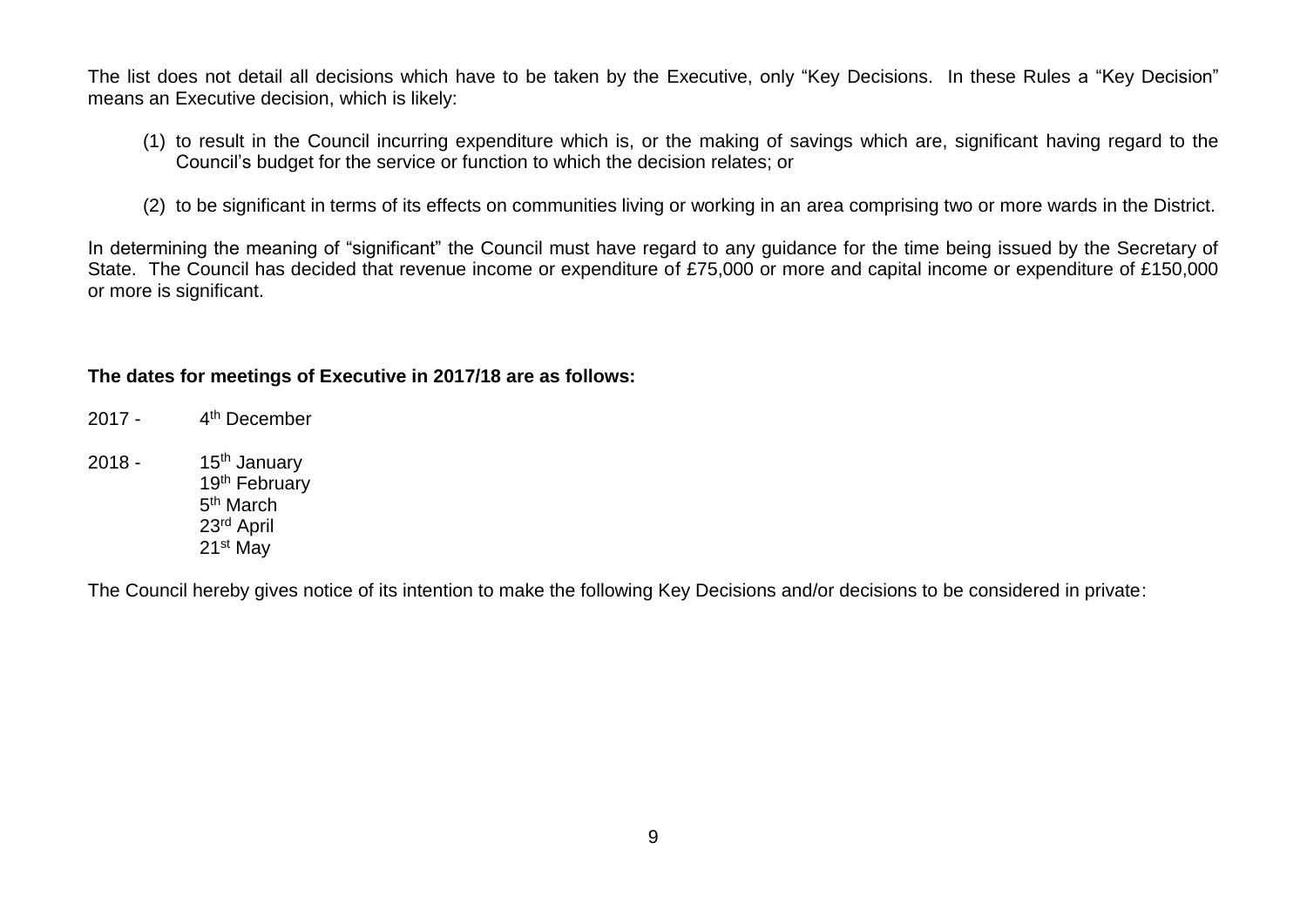The list does not detail all decisions which have to be taken by the Executive, only "Key Decisions. In these Rules a "Key Decision" means an Executive decision, which is likely:

- (1) to result in the Council incurring expenditure which is, or the making of savings which are, significant having regard to the Council's budget for the service or function to which the decision relates; or
- (2) to be significant in terms of its effects on communities living or working in an area comprising two or more wards in the District.

In determining the meaning of "significant" the Council must have regard to any guidance for the time being issued by the Secretary of State. The Council has decided that revenue income or expenditure of £75,000 or more and capital income or expenditure of £150,000 or more is significant.

## **The dates for meetings of Executive in 2017/18 are as follows:**

 $2017 -$ 4<sup>th</sup> December 2018 -  $15<sup>th</sup>$  January 19<sup>th</sup> February 5<sup>th</sup> March 23rd April 21st May

The Council hereby gives notice of its intention to make the following Key Decisions and/or decisions to be considered in private: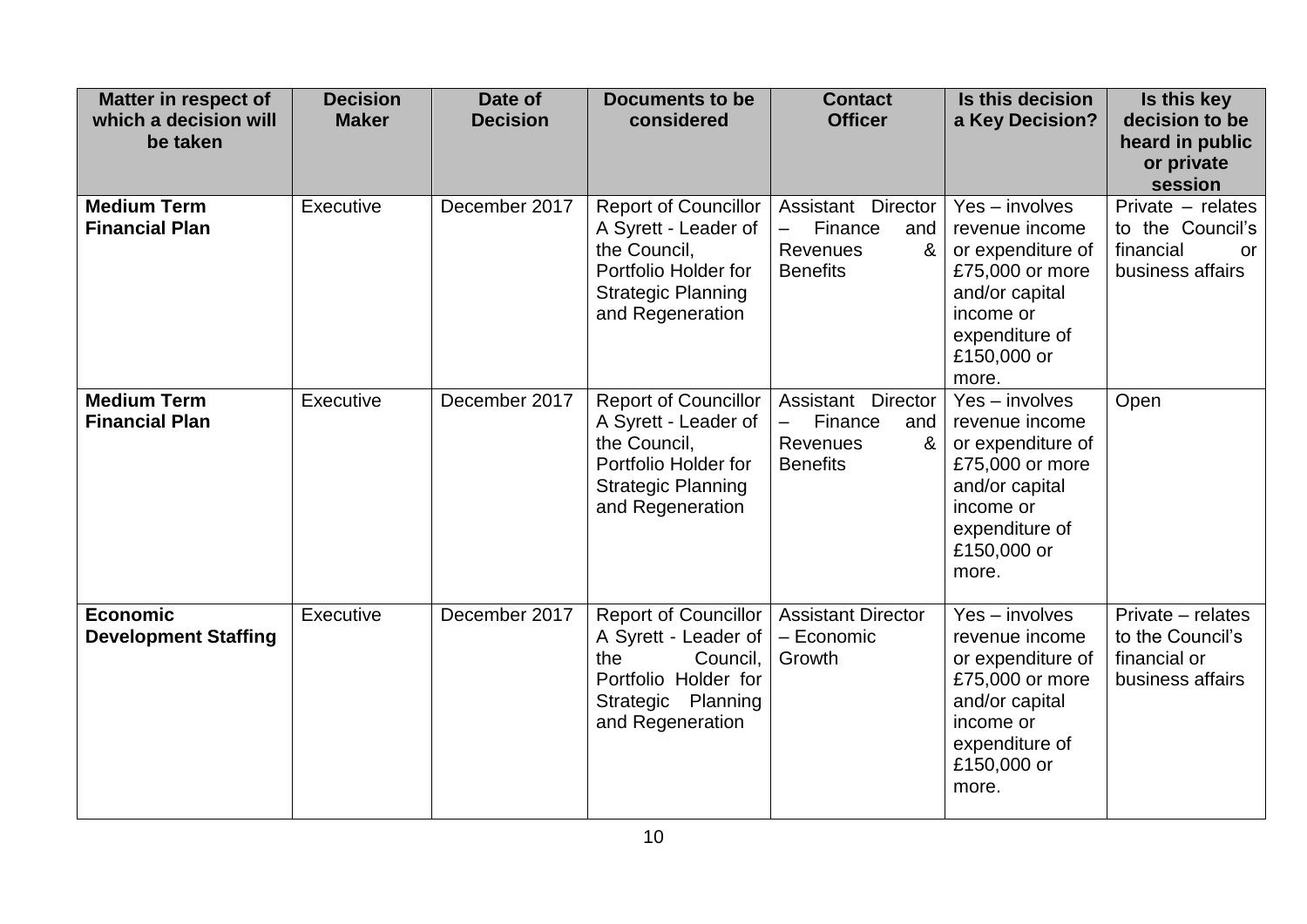| <b>Matter in respect of</b><br>which a decision will<br>be taken | <b>Decision</b><br><b>Maker</b> | Date of<br><b>Decision</b> | <b>Documents to be</b><br>considered                                                                                                         | <b>Contact</b><br><b>Officer</b>                                                                            | Is this decision<br>a Key Decision?                                                                                                                 | Is this key<br>decision to be<br>heard in public<br>or private<br>session    |
|------------------------------------------------------------------|---------------------------------|----------------------------|----------------------------------------------------------------------------------------------------------------------------------------------|-------------------------------------------------------------------------------------------------------------|-----------------------------------------------------------------------------------------------------------------------------------------------------|------------------------------------------------------------------------------|
| <b>Medium Term</b><br><b>Financial Plan</b>                      | Executive                       | December 2017              | <b>Report of Councillor</b><br>A Syrett - Leader of<br>the Council,<br>Portfolio Holder for<br><b>Strategic Planning</b><br>and Regeneration | Assistant Director<br>Finance<br>and<br><b>Revenues</b><br>&<br><b>Benefits</b>                             | $Yes - involves$<br>revenue income<br>or expenditure of<br>£75,000 or more<br>and/or capital<br>income or<br>expenditure of<br>£150,000 or<br>more. | Private - relates<br>to the Council's<br>financial<br>or<br>business affairs |
| <b>Medium Term</b><br><b>Financial Plan</b>                      | Executive                       | December 2017              | <b>Report of Councillor</b><br>A Syrett - Leader of<br>the Council,<br>Portfolio Holder for<br><b>Strategic Planning</b><br>and Regeneration | Assistant Director<br>Finance<br>$\overline{\phantom{0}}$<br>and<br><b>Revenues</b><br>&<br><b>Benefits</b> | $Yes - involves$<br>revenue income<br>or expenditure of<br>£75,000 or more<br>and/or capital<br>income or<br>expenditure of<br>£150,000 or<br>more. | Open                                                                         |
| <b>Economic</b><br><b>Development Staffing</b>                   | Executive                       | December 2017              | <b>Report of Councillor</b><br>A Syrett - Leader of<br>the<br>Council,<br>Portfolio Holder for<br>Strategic Planning<br>and Regeneration     | <b>Assistant Director</b><br>- Economic<br>Growth                                                           | $Yes - involves$<br>revenue income<br>or expenditure of<br>£75,000 or more<br>and/or capital<br>income or<br>expenditure of<br>£150,000 or<br>more. | Private - relates<br>to the Council's<br>financial or<br>business affairs    |